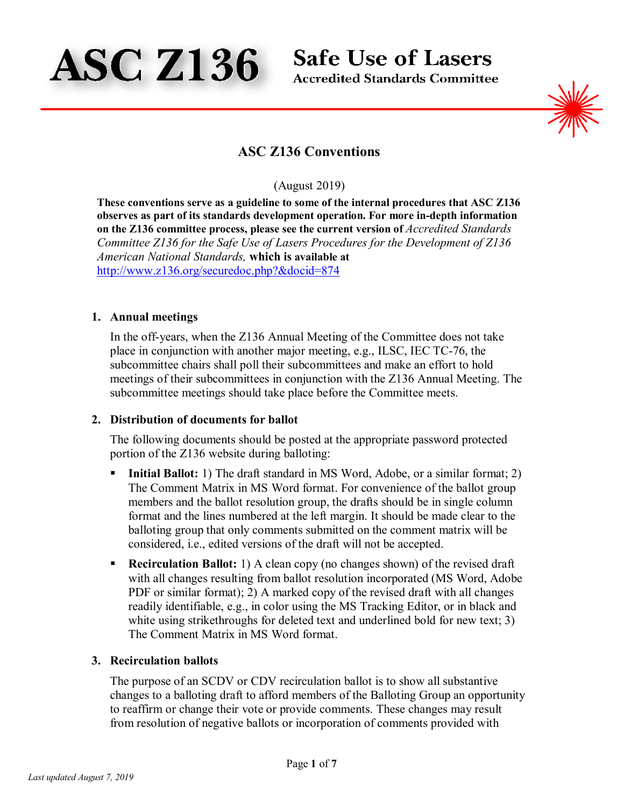

**Safe Use of Lasers** 

**Accredited Standards Committee** 



# **ASC Z136 Conventions**

# (August 2019)

**These conventions serve as a guideline to some of the internal procedures that ASC Z136 observes as part of its standards development operation. For more in-depth information on the Z136 committee process, please see the current version of** *Accredited Standards Committee Z136 for the Safe Use of Lasers Procedures for the Development of Z136 American National Standards,* **which is available at**  <http://www.z136.org/securedoc.php?&docid=874>

#### **1. Annual meetings**

In the off-years, when the Z136 Annual Meeting of the Committee does not take place in conjunction with another major meeting, e.g., ILSC, IEC TC-76, the subcommittee chairs shall poll their subcommittees and make an effort to hold meetings of their subcommittees in conjunction with the Z136 Annual Meeting. The subcommittee meetings should take place before the Committee meets.

#### **2. Distribution of documents for ballot**

The following documents should be posted at the appropriate password protected portion of the Z136 website during balloting:

- **Initial Ballot:** 1) The draft standard in MS Word, Adobe, or a similar format; 2) The Comment Matrix in MS Word format. For convenience of the ballot group members and the ballot resolution group, the drafts should be in single column format and the lines numbered at the left margin. It should be made clear to the balloting group that only comments submitted on the comment matrix will be considered, i.e., edited versions of the draft will not be accepted.
- **Recirculation Ballot:** 1) A clean copy (no changes shown) of the revised draft with all changes resulting from ballot resolution incorporated (MS Word, Adobe PDF or similar format); 2) A marked copy of the revised draft with all changes readily identifiable, e.g., in color using the MS Tracking Editor, or in black and white using strikethroughs for deleted text and underlined bold for new text; 3) The Comment Matrix in MS Word format.

# **3. Recirculation ballots**

The purpose of an SCDV or CDV recirculation ballot is to show all substantive changes to a balloting draft to afford members of the Balloting Group an opportunity to reaffirm or change their vote or provide comments. These changes may result from resolution of negative ballots or incorporation of comments provided with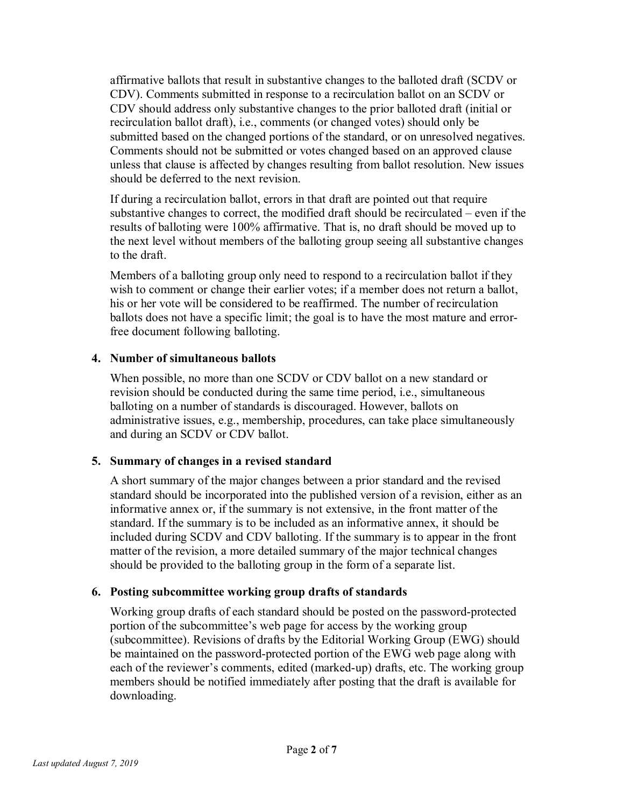affirmative ballots that result in substantive changes to the balloted draft (SCDV or CDV). Comments submitted in response to a recirculation ballot on an SCDV or CDV should address only substantive changes to the prior balloted draft (initial or recirculation ballot draft), i.e., comments (or changed votes) should only be submitted based on the changed portions of the standard, or on unresolved negatives. Comments should not be submitted or votes changed based on an approved clause unless that clause is affected by changes resulting from ballot resolution. New issues should be deferred to the next revision.

If during a recirculation ballot, errors in that draft are pointed out that require substantive changes to correct, the modified draft should be recirculated – even if the results of balloting were 100% affirmative. That is, no draft should be moved up to the next level without members of the balloting group seeing all substantive changes to the draft.

Members of a balloting group only need to respond to a recirculation ballot if they wish to comment or change their earlier votes; if a member does not return a ballot, his or her vote will be considered to be reaffirmed. The number of recirculation ballots does not have a specific limit; the goal is to have the most mature and errorfree document following balloting.

# **4. Number of simultaneous ballots**

When possible, no more than one SCDV or CDV ballot on a new standard or revision should be conducted during the same time period, i.e., simultaneous balloting on a number of standards is discouraged. However, ballots on administrative issues, e.g., membership, procedures, can take place simultaneously and during an SCDV or CDV ballot.

# **5. Summary of changes in a revised standard**

A short summary of the major changes between a prior standard and the revised standard should be incorporated into the published version of a revision, either as an informative annex or, if the summary is not extensive, in the front matter of the standard. If the summary is to be included as an informative annex, it should be included during SCDV and CDV balloting. If the summary is to appear in the front matter of the revision, a more detailed summary of the major technical changes should be provided to the balloting group in the form of a separate list.

# **6. Posting subcommittee working group drafts of standards**

Working group drafts of each standard should be posted on the password-protected portion of the subcommittee's web page for access by the working group (subcommittee). Revisions of drafts by the Editorial Working Group (EWG) should be maintained on the password-protected portion of the EWG web page along with each of the reviewer's comments, edited (marked-up) drafts, etc. The working group members should be notified immediately after posting that the draft is available for downloading.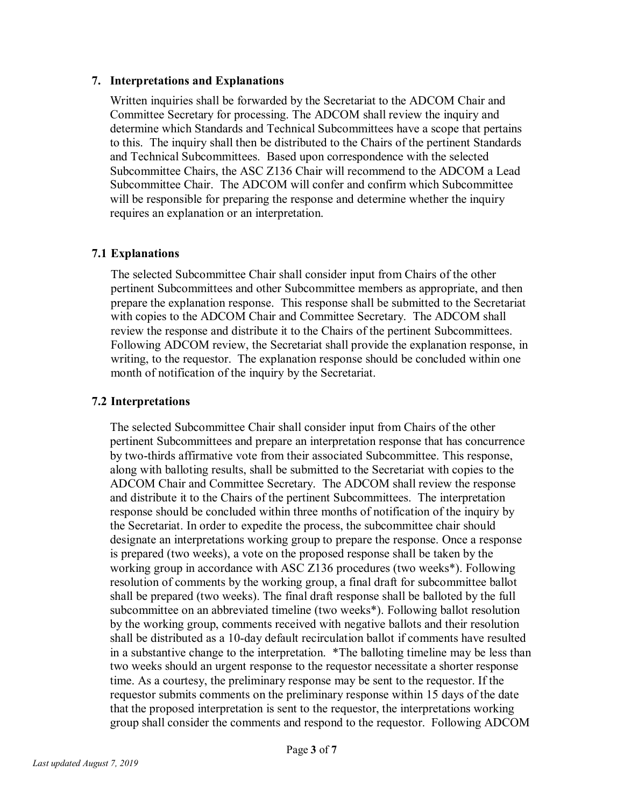#### **7. Interpretations and Explanations**

Written inquiries shall be forwarded by the Secretariat to the ADCOM Chair and Committee Secretary for processing. The ADCOM shall review the inquiry and determine which Standards and Technical Subcommittees have a scope that pertains to this. The inquiry shall then be distributed to the Chairs of the pertinent Standards and Technical Subcommittees. Based upon correspondence with the selected Subcommittee Chairs, the ASC Z136 Chair will recommend to the ADCOM a Lead Subcommittee Chair. The ADCOM will confer and confirm which Subcommittee will be responsible for preparing the response and determine whether the inquiry requires an explanation or an interpretation.

# **7.1 Explanations**

The selected Subcommittee Chair shall consider input from Chairs of the other pertinent Subcommittees and other Subcommittee members as appropriate, and then prepare the explanation response. This response shall be submitted to the Secretariat with copies to the ADCOM Chair and Committee Secretary. The ADCOM shall review the response and distribute it to the Chairs of the pertinent Subcommittees. Following ADCOM review, the Secretariat shall provide the explanation response, in writing, to the requestor. The explanation response should be concluded within one month of notification of the inquiry by the Secretariat.

# **7.2 Interpretations**

The selected Subcommittee Chair shall consider input from Chairs of the other pertinent Subcommittees and prepare an interpretation response that has concurrence by two-thirds affirmative vote from their associated Subcommittee. This response, along with balloting results, shall be submitted to the Secretariat with copies to the ADCOM Chair and Committee Secretary. The ADCOM shall review the response and distribute it to the Chairs of the pertinent Subcommittees. The interpretation response should be concluded within three months of notification of the inquiry by the Secretariat. In order to expedite the process, the subcommittee chair should designate an interpretations working group to prepare the response. Once a response is prepared (two weeks), a vote on the proposed response shall be taken by the working group in accordance with ASC Z136 procedures (two weeks\*). Following resolution of comments by the working group, a final draft for subcommittee ballot shall be prepared (two weeks). The final draft response shall be balloted by the full subcommittee on an abbreviated timeline (two weeks\*). Following ballot resolution by the working group, comments received with negative ballots and their resolution shall be distributed as a 10-day default recirculation ballot if comments have resulted in a substantive change to the interpretation. \*The balloting timeline may be less than two weeks should an urgent response to the requestor necessitate a shorter response time. As a courtesy, the preliminary response may be sent to the requestor. If the requestor submits comments on the preliminary response within 15 days of the date that the proposed interpretation is sent to the requestor, the interpretations working group shall consider the comments and respond to the requestor. Following ADCOM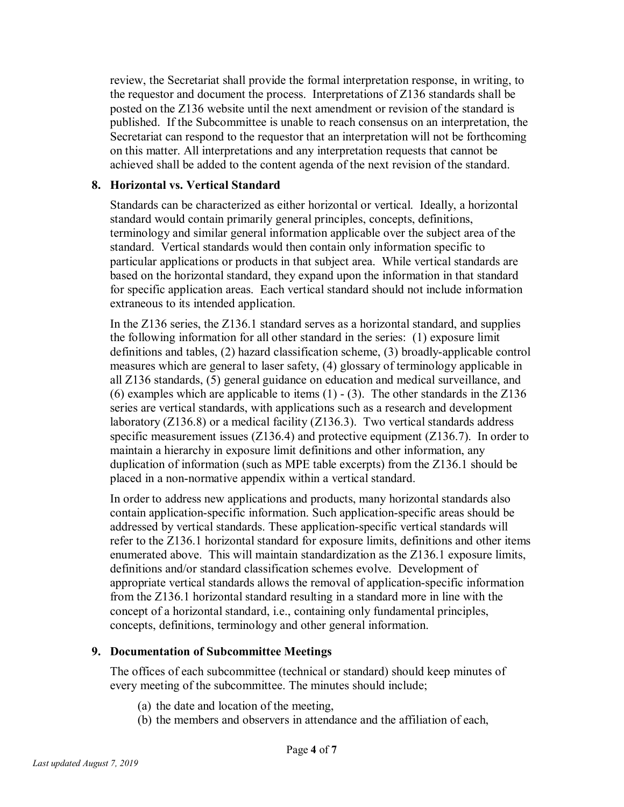review, the Secretariat shall provide the formal interpretation response, in writing, to the requestor and document the process. Interpretations of Z136 standards shall be posted on the Z136 website until the next amendment or revision of the standard is published. If the Subcommittee is unable to reach consensus on an interpretation, the Secretariat can respond to the requestor that an interpretation will not be forthcoming on this matter. All interpretations and any interpretation requests that cannot be achieved shall be added to the content agenda of the next revision of the standard.

#### **8. Horizontal vs. Vertical Standard**

Standards can be characterized as either horizontal or vertical. Ideally, a horizontal standard would contain primarily general principles, concepts, definitions, terminology and similar general information applicable over the subject area of the standard. Vertical standards would then contain only information specific to particular applications or products in that subject area. While vertical standards are based on the horizontal standard, they expand upon the information in that standard for specific application areas. Each vertical standard should not include information extraneous to its intended application.

In the Z136 series, the Z136.1 standard serves as a horizontal standard, and supplies the following information for all other standard in the series: (1) exposure limit definitions and tables, (2) hazard classification scheme, (3) broadly-applicable control measures which are general to laser safety, (4) glossary of terminology applicable in all Z136 standards, (5) general guidance on education and medical surveillance, and (6) examples which are applicable to items  $(1)$  -  $(3)$ . The other standards in the Z136 series are vertical standards, with applications such as a research and development laboratory (Z136.8) or a medical facility (Z136.3). Two vertical standards address specific measurement issues (Z136.4) and protective equipment (Z136.7). In order to maintain a hierarchy in exposure limit definitions and other information, any duplication of information (such as MPE table excerpts) from the Z136.1 should be placed in a non-normative appendix within a vertical standard.

In order to address new applications and products, many horizontal standards also contain application-specific information. Such application-specific areas should be addressed by vertical standards. These application-specific vertical standards will refer to the Z136.1 horizontal standard for exposure limits, definitions and other items enumerated above. This will maintain standardization as the Z136.1 exposure limits, definitions and/or standard classification schemes evolve. Development of appropriate vertical standards allows the removal of application-specific information from the Z136.1 horizontal standard resulting in a standard more in line with the concept of a horizontal standard, i.e., containing only fundamental principles, concepts, definitions, terminology and other general information.

#### **9. Documentation of Subcommittee Meetings**

The offices of each subcommittee (technical or standard) should keep minutes of every meeting of the subcommittee. The minutes should include;

- (a) the date and location of the meeting,
- (b) the members and observers in attendance and the affiliation of each,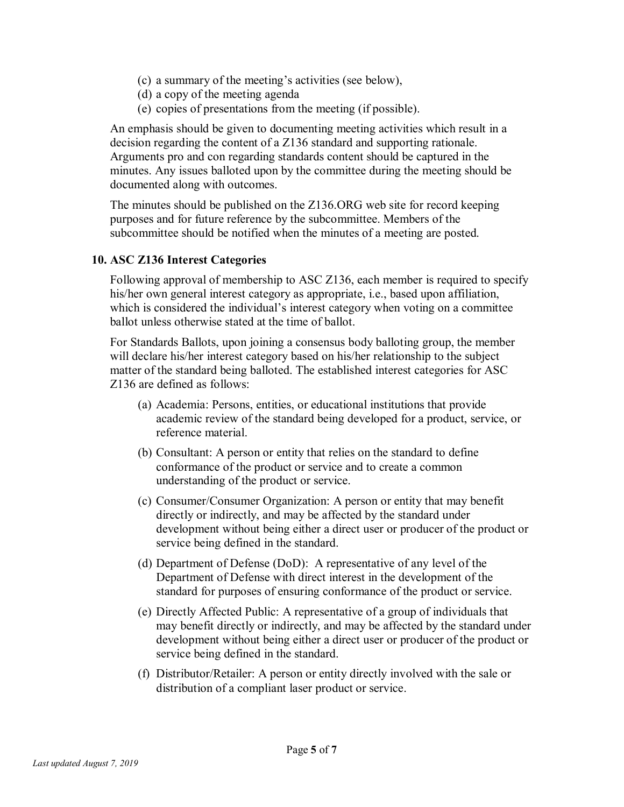- (c) a summary of the meeting's activities (see below),
- (d) a copy of the meeting agenda
- (e) copies of presentations from the meeting (if possible).

An emphasis should be given to documenting meeting activities which result in a decision regarding the content of a Z136 standard and supporting rationale. Arguments pro and con regarding standards content should be captured in the minutes. Any issues balloted upon by the committee during the meeting should be documented along with outcomes.

The minutes should be published on the Z136.ORG web site for record keeping purposes and for future reference by the subcommittee. Members of the subcommittee should be notified when the minutes of a meeting are posted.

#### **10. ASC Z136 Interest Categories**

Following approval of membership to ASC Z136, each member is required to specify his/her own general interest category as appropriate, i.e., based upon affiliation, which is considered the individual's interest category when voting on a committee ballot unless otherwise stated at the time of ballot.

For Standards Ballots, upon joining a consensus body balloting group, the member will declare his/her interest category based on his/her relationship to the subject matter of the standard being balloted. The established interest categories for ASC Z136 are defined as follows:

- (a) Academia: Persons, entities, or educational institutions that provide academic review of the standard being developed for a product, service, or reference material.
- (b) Consultant: A person or entity that relies on the standard to define conformance of the product or service and to create a common understanding of the product or service.
- (c) Consumer/Consumer Organization: A person or entity that may benefit directly or indirectly, and may be affected by the standard under development without being either a direct user or producer of the product or service being defined in the standard.
- (d) Department of Defense (DoD): A representative of any level of the Department of Defense with direct interest in the development of the standard for purposes of ensuring conformance of the product or service.
- (e) Directly Affected Public: A representative of a group of individuals that may benefit directly or indirectly, and may be affected by the standard under development without being either a direct user or producer of the product or service being defined in the standard.
- (f) Distributor/Retailer: A person or entity directly involved with the sale or distribution of a compliant laser product or service.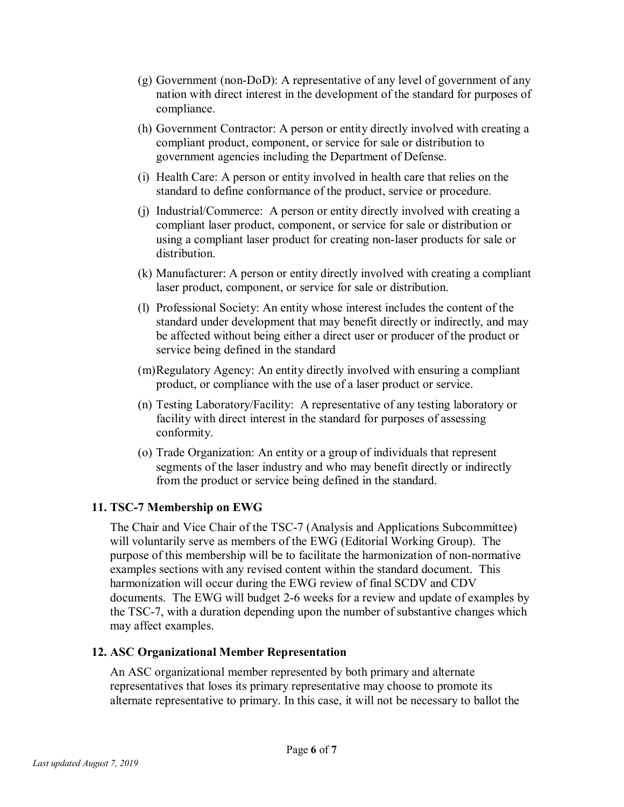- (g) Government (non-DoD): A representative of any level of government of any nation with direct interest in the development of the standard for purposes of compliance.
- (h) Government Contractor: A person or entity directly involved with creating a compliant product, component, or service for sale or distribution to government agencies including the Department of Defense.
- (i) Health Care: A person or entity involved in health care that relies on the standard to define conformance of the product, service or procedure.
- (j) Industrial/Commerce: A person or entity directly involved with creating a compliant laser product, component, or service for sale or distribution or using a compliant laser product for creating non-laser products for sale or distribution.
- (k) Manufacturer: A person or entity directly involved with creating a compliant laser product, component, or service for sale or distribution.
- (l) Professional Society: An entity whose interest includes the content of the standard under development that may benefit directly or indirectly, and may be affected without being either a direct user or producer of the product or service being defined in the standard
- (m)Regulatory Agency: An entity directly involved with ensuring a compliant product, or compliance with the use of a laser product or service.
- (n) Testing Laboratory/Facility: A representative of any testing laboratory or facility with direct interest in the standard for purposes of assessing conformity.
- (o) Trade Organization: An entity or a group of individuals that represent segments of the laser industry and who may benefit directly or indirectly from the product or service being defined in the standard.

# **11. TSC-7 Membership on EWG**

The Chair and Vice Chair of the TSC-7 (Analysis and Applications Subcommittee) will voluntarily serve as members of the EWG (Editorial Working Group). The purpose of this membership will be to facilitate the harmonization of non-normative examples sections with any revised content within the standard document. This harmonization will occur during the EWG review of final SCDV and CDV documents. The EWG will budget 2-6 weeks for a review and update of examples by the TSC-7, with a duration depending upon the number of substantive changes which may affect examples.

# **12. ASC Organizational Member Representation**

An ASC organizational member represented by both primary and alternate representatives that loses its primary representative may choose to promote its alternate representative to primary. In this case, it will not be necessary to ballot the